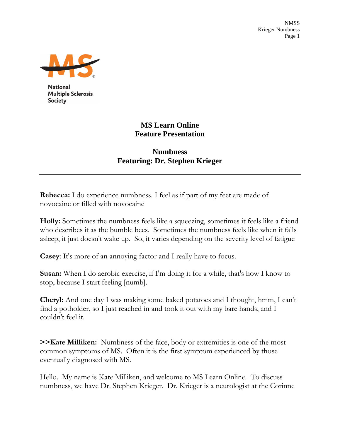NMSS Krieger Numbness Page 1



**National Multiple Sclerosis Society** 

## **MS Learn Online Feature Presentation**

## **Numbness Featuring: Dr. Stephen Krieger**

**Rebecca:** I do experience numbness. I feel as if part of my feet are made of novocaine or filled with novocaine

**Holly:** Sometimes the numbness feels like a squeezing, sometimes it feels like a friend who describes it as the bumble bees. Sometimes the numbness feels like when it falls asleep, it just doesn't wake up. So, it varies depending on the severity level of fatigue

**Casey**: It's more of an annoying factor and I really have to focus.

**Susan:** When I do aerobic exercise, if I'm doing it for a while, that's how I know to stop, because I start feeling [numb].

**Cheryl:** And one day I was making some baked potatoes and I thought, hmm, I can't find a potholder, so I just reached in and took it out with my bare hands, and I couldn't feel it.

**>>Kate Milliken:** Numbness of the face, body or extremities is one of the most common symptoms of MS. Often it is the first symptom experienced by those eventually diagnosed with MS.

Hello. My name is Kate Milliken, and welcome to MS Learn Online. To discuss numbness, we have Dr. Stephen Krieger. Dr. Krieger is a neurologist at the Corinne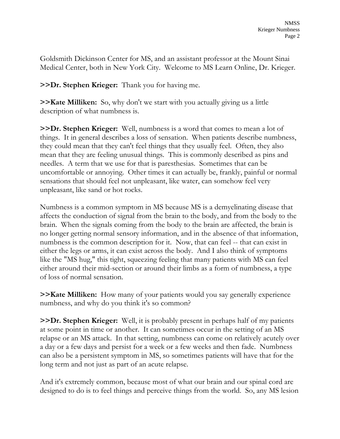Goldsmith Dickinson Center for MS, and an assistant professor at the Mount Sinai Medical Center, both in New York City. Welcome to MS Learn Online, Dr. Krieger.

**>>Dr. Stephen Krieger:** Thank you for having me.

**>>Kate Milliken:** So, why don't we start with you actually giving us a little description of what numbness is.

**>>Dr. Stephen Krieger:** Well, numbness is a word that comes to mean a lot of things. It in general describes a loss of sensation. When patients describe numbness, they could mean that they can't feel things that they usually feel. Often, they also mean that they are feeling unusual things. This is commonly described as pins and needles. A term that we use for that is paresthesias. Sometimes that can be uncomfortable or annoying. Other times it can actually be, frankly, painful or normal sensations that should feel not unpleasant, like water, can somehow feel very unpleasant, like sand or hot rocks.

Numbness is a common symptom in MS because MS is a demyelinating disease that affects the conduction of signal from the brain to the body, and from the body to the brain. When the signals coming from the body to the brain are affected, the brain is no longer getting normal sensory information, and in the absence of that information, numbness is the common description for it. Now, that can feel -- that can exist in either the legs or arms, it can exist across the body. And I also think of symptoms like the "MS hug," this tight, squeezing feeling that many patients with MS can feel either around their mid-section or around their limbs as a form of numbness, a type of loss of normal sensation.

**>>Kate Milliken:** How many of your patients would you say generally experience numbness, and why do you think it's so common?

**>>Dr. Stephen Krieger:** Well, it is probably present in perhaps half of my patients at some point in time or another. It can sometimes occur in the setting of an MS relapse or an MS attack. In that setting, numbness can come on relatively acutely over a day or a few days and persist for a week or a few weeks and then fade. Numbness can also be a persistent symptom in MS, so sometimes patients will have that for the long term and not just as part of an acute relapse.

And it's extremely common, because most of what our brain and our spinal cord are designed to do is to feel things and perceive things from the world. So, any MS lesion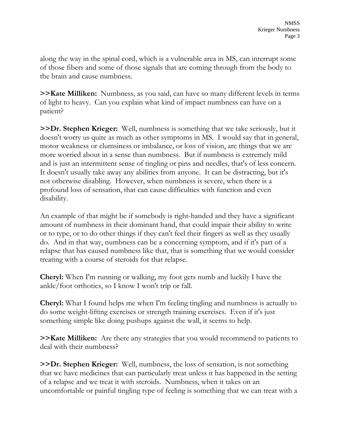along the way in the spinal cord, which is a vulnerable area in MS, can interrupt some of those fibers and some of those signals that are coming through from the body to the brain and cause numbness.

**>>Kate Milliken:** Numbness, as you said, can have so many different levels in terms of light to heavy. Can you explain what kind of impact numbness can have on a patient?

**>>Dr. Stephen Krieger:** Well, numbness is something that we take seriously, but it doesn't worry us quite as much as other symptoms in MS. I would say that in general, motor weakness or clumsiness or imbalance, or loss of vision, are things that we are more worried about in a sense than numbness. But if numbness is extremely mild and is just an intermittent sense of tingling or pins and needles, that's of less concern. It doesn't usually take away any abilities from anyone. It can be distracting, but it's not otherwise disabling. However, when numbness is severe, when there is a profound loss of sensation, that can cause difficulties with function and even disability.

An example of that might be if somebody is right-handed and they have a significant amount of numbness in their dominant hand, that could impair their ability to write or to type, or to do other things if they can't feel their fingers as well as they usually do. And in that way, numbness can be a concerning symptom, and if it's part of a relapse that has caused numbness like that, that is something that we would consider treating with a course of steroids for that relapse.

**Cheryl:** When I'm running or walking, my foot gets numb and luckily I have the ankle/foot orthotics, so I know I won't trip or fall.

**Cheryl:** What I found helps me when I'm feeling tingling and numbness is actually to do some weight-lifting exercises or strength training exercises. Even if it's just something simple like doing pushups against the wall, it seems to help.

**>>Kate Milliken:** Are there any strategies that you would recommend to patients to deal with their numbness?

**>>Dr. Stephen Krieger:** Well, numbness, the loss of sensation, is not something that we have medicines that can particularly treat unless it has happened in the setting of a relapse and we treat it with steroids. Numbness, when it takes on an uncomfortable or painful tingling type of feeling is something that we can treat with a